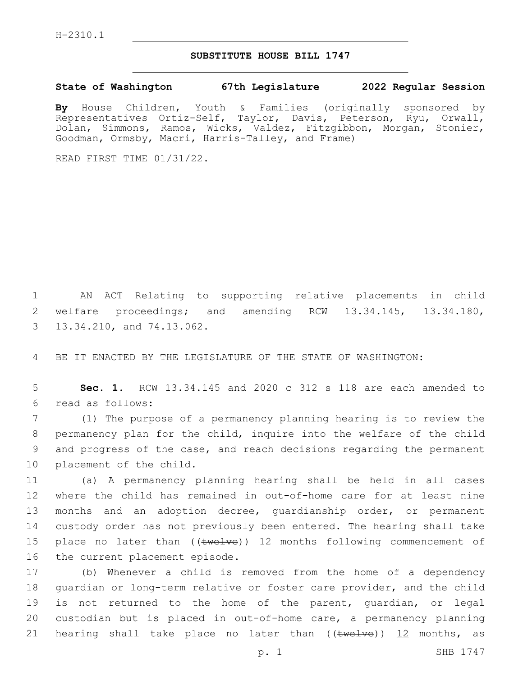## **SUBSTITUTE HOUSE BILL 1747**

**State of Washington 67th Legislature 2022 Regular Session**

**By** House Children, Youth & Families (originally sponsored by Representatives Ortiz-Self, Taylor, Davis, Peterson, Ryu, Orwall, Dolan, Simmons, Ramos, Wicks, Valdez, Fitzgibbon, Morgan, Stonier, Goodman, Ormsby, Macri, Harris-Talley, and Frame)

READ FIRST TIME 01/31/22.

1 AN ACT Relating to supporting relative placements in child 2 welfare proceedings; and amending RCW 13.34.145, 13.34.180, 3 13.34.210, and 74.13.062.

4 BE IT ENACTED BY THE LEGISLATURE OF THE STATE OF WASHINGTON:

5 **Sec. 1.** RCW 13.34.145 and 2020 c 312 s 118 are each amended to read as follows:6

 (1) The purpose of a permanency planning hearing is to review the permanency plan for the child, inquire into the welfare of the child and progress of the case, and reach decisions regarding the permanent 10 placement of the child.

 (a) A permanency planning hearing shall be held in all cases where the child has remained in out-of-home care for at least nine months and an adoption decree, guardianship order, or permanent custody order has not previously been entered. The hearing shall take 15 place no later than  $((\text{twelve}))$  12 months following commencement of 16 the current placement episode.

 (b) Whenever a child is removed from the home of a dependency guardian or long-term relative or foster care provider, and the child is not returned to the home of the parent, guardian, or legal custodian but is placed in out-of-home care, a permanency planning 21 hearing shall take place no later than  $((\text{true} \cup \text{true})$ ) 12 months, as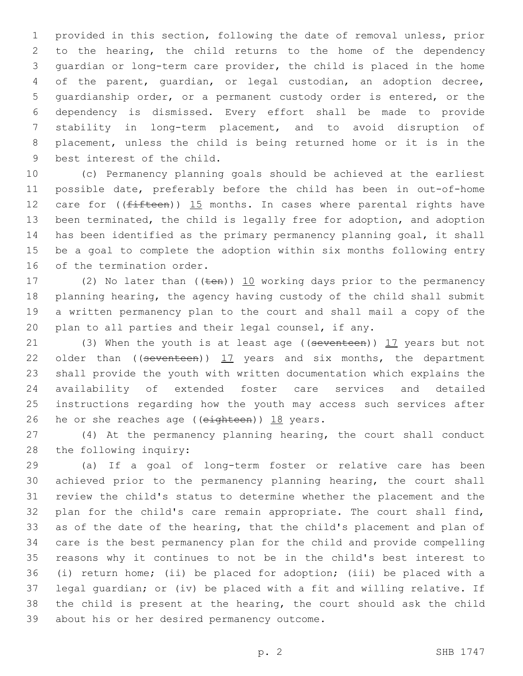provided in this section, following the date of removal unless, prior to the hearing, the child returns to the home of the dependency guardian or long-term care provider, the child is placed in the home of the parent, guardian, or legal custodian, an adoption decree, guardianship order, or a permanent custody order is entered, or the dependency is dismissed. Every effort shall be made to provide stability in long-term placement, and to avoid disruption of placement, unless the child is being returned home or it is in the 9 best interest of the child.

 (c) Permanency planning goals should be achieved at the earliest possible date, preferably before the child has been in out-of-home 12 care for  $($ ( $f$ ifteen)) 15 months. In cases where parental rights have been terminated, the child is legally free for adoption, and adoption has been identified as the primary permanency planning goal, it shall be a goal to complete the adoption within six months following entry 16 of the termination order.

17 (2) No later than  $((\text{ten}))$  10 working days prior to the permanency planning hearing, the agency having custody of the child shall submit a written permanency plan to the court and shall mail a copy of the plan to all parties and their legal counsel, if any.

21 (3) When the youth is at least age ((seventeen)) 17 years but not 22 older than  $($  (seventeen))  $17$  years and six months, the department shall provide the youth with written documentation which explains the availability of extended foster care services and detailed instructions regarding how the youth may access such services after 26 he or she reaches age (( $e$ ighteen)) 18 years.

 (4) At the permanency planning hearing, the court shall conduct 28 the following inquiry:

 (a) If a goal of long-term foster or relative care has been achieved prior to the permanency planning hearing, the court shall review the child's status to determine whether the placement and the plan for the child's care remain appropriate. The court shall find, as of the date of the hearing, that the child's placement and plan of care is the best permanency plan for the child and provide compelling reasons why it continues to not be in the child's best interest to (i) return home; (ii) be placed for adoption; (iii) be placed with a legal guardian; or (iv) be placed with a fit and willing relative. If the child is present at the hearing, the court should ask the child 39 about his or her desired permanency outcome.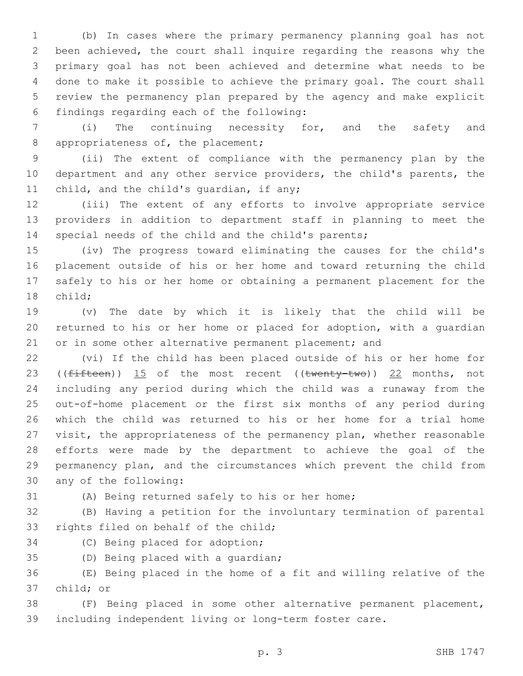(b) In cases where the primary permanency planning goal has not been achieved, the court shall inquire regarding the reasons why the primary goal has not been achieved and determine what needs to be done to make it possible to achieve the primary goal. The court shall review the permanency plan prepared by the agency and make explicit findings regarding each of the following:6

 (i) The continuing necessity for, and the safety and 8 appropriateness of, the placement;

 (ii) The extent of compliance with the permanency plan by the department and any other service providers, the child's parents, the 11 child, and the child's quardian, if any;

 (iii) The extent of any efforts to involve appropriate service providers in addition to department staff in planning to meet the special needs of the child and the child's parents;

 (iv) The progress toward eliminating the causes for the child's placement outside of his or her home and toward returning the child safely to his or her home or obtaining a permanent placement for the 18 child;

 (v) The date by which it is likely that the child will be returned to his or her home or placed for adoption, with a guardian 21 or in some other alternative permanent placement; and

 (vi) If the child has been placed outside of his or her home for 23 (( $fifteen$ ))  $15$  of the most recent (( $twenty-two$ ))  $22$  months, not including any period during which the child was a runaway from the out-of-home placement or the first six months of any period during which the child was returned to his or her home for a trial home visit, the appropriateness of the permanency plan, whether reasonable efforts were made by the department to achieve the goal of the permanency plan, and the circumstances which prevent the child from 30 any of the following:

(A) Being returned safely to his or her home;

 (B) Having a petition for the involuntary termination of parental 33 rights filed on behalf of the child;

34 (C) Being placed for adoption;

35 (D) Being placed with a quardian;

 (E) Being placed in the home of a fit and willing relative of the 37 child; or

 (F) Being placed in some other alternative permanent placement, including independent living or long-term foster care.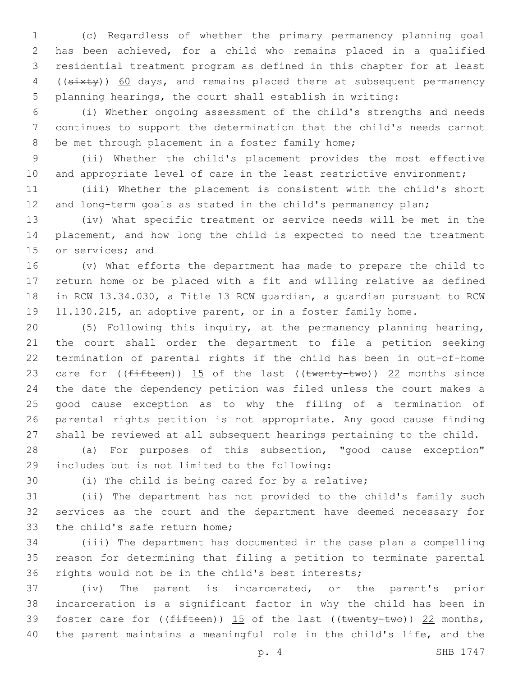(c) Regardless of whether the primary permanency planning goal has been achieved, for a child who remains placed in a qualified residential treatment program as defined in this chapter for at least 4 ((sixty)) 60 days, and remains placed there at subsequent permanency planning hearings, the court shall establish in writing:

 (i) Whether ongoing assessment of the child's strengths and needs continues to support the determination that the child's needs cannot 8 be met through placement in a foster family home;

 (ii) Whether the child's placement provides the most effective 10 and appropriate level of care in the least restrictive environment;

 (iii) Whether the placement is consistent with the child's short and long-term goals as stated in the child's permanency plan;

 (iv) What specific treatment or service needs will be met in the placement, and how long the child is expected to need the treatment 15 or services; and

 (v) What efforts the department has made to prepare the child to return home or be placed with a fit and willing relative as defined in RCW 13.34.030, a Title 13 RCW guardian, a guardian pursuant to RCW 11.130.215, an adoptive parent, or in a foster family home.

 (5) Following this inquiry, at the permanency planning hearing, the court shall order the department to file a petition seeking termination of parental rights if the child has been in out-of-home 23 care for  $(\text{fifteen})$ ) 15 of the last  $((\text{twenty-two}))$  22 months since the date the dependency petition was filed unless the court makes a good cause exception as to why the filing of a termination of parental rights petition is not appropriate. Any good cause finding shall be reviewed at all subsequent hearings pertaining to the child.

 (a) For purposes of this subsection, "good cause exception" includes but is not limited to the following:29

(i) The child is being cared for by a relative;

 (ii) The department has not provided to the child's family such services as the court and the department have deemed necessary for 33 the child's safe return home;

 (iii) The department has documented in the case plan a compelling reason for determining that filing a petition to terminate parental rights would not be in the child's best interests;

 (iv) The parent is incarcerated, or the parent's prior incarceration is a significant factor in why the child has been in 39 foster care for  $((fifteen))$  15 of the last  $((twenty-two))$  22 months, the parent maintains a meaningful role in the child's life, and the

p. 4 SHB 1747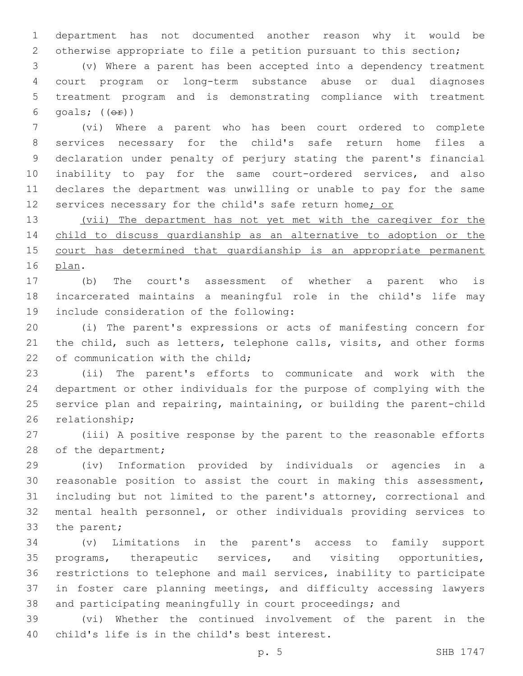department has not documented another reason why it would be otherwise appropriate to file a petition pursuant to this section;

 (v) Where a parent has been accepted into a dependency treatment court program or long-term substance abuse or dual diagnoses treatment program and is demonstrating compliance with treatment 6 goals;  $((\theta \cdot \hat{r}))$ 

 (vi) Where a parent who has been court ordered to complete services necessary for the child's safe return home files a declaration under penalty of perjury stating the parent's financial inability to pay for the same court-ordered services, and also declares the department was unwilling or unable to pay for the same 12 services necessary for the child's safe return home; or

 (vii) The department has not yet met with the caregiver for the child to discuss guardianship as an alternative to adoption or the 15 court has determined that quardianship is an appropriate permanent 16 plan.

 (b) The court's assessment of whether a parent who is incarcerated maintains a meaningful role in the child's life may 19 include consideration of the following:

 (i) The parent's expressions or acts of manifesting concern for 21 the child, such as letters, telephone calls, visits, and other forms 22 of communication with the child;

 (ii) The parent's efforts to communicate and work with the department or other individuals for the purpose of complying with the service plan and repairing, maintaining, or building the parent-child 26 relationship;

 (iii) A positive response by the parent to the reasonable efforts 28 of the department;

 (iv) Information provided by individuals or agencies in a reasonable position to assist the court in making this assessment, including but not limited to the parent's attorney, correctional and mental health personnel, or other individuals providing services to 33 the parent;

 (v) Limitations in the parent's access to family support programs, therapeutic services, and visiting opportunities, restrictions to telephone and mail services, inability to participate in foster care planning meetings, and difficulty accessing lawyers and participating meaningfully in court proceedings; and

 (vi) Whether the continued involvement of the parent in the 40 child's life is in the child's best interest.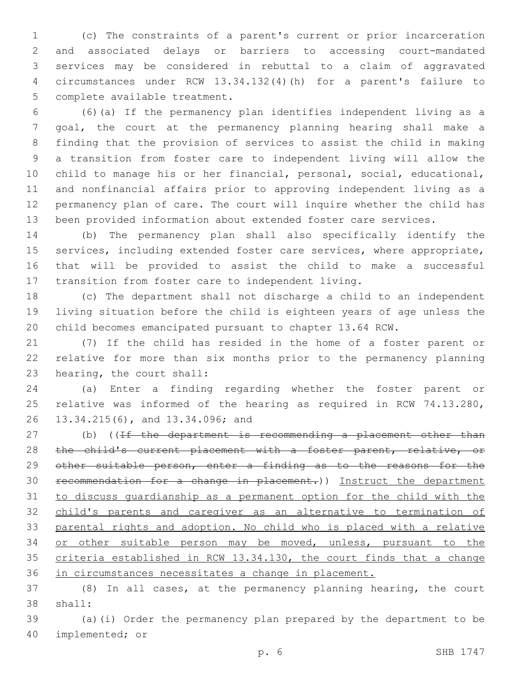(c) The constraints of a parent's current or prior incarceration and associated delays or barriers to accessing court-mandated services may be considered in rebuttal to a claim of aggravated circumstances under RCW 13.34.132(4)(h) for a parent's failure to 5 complete available treatment.

 (6)(a) If the permanency plan identifies independent living as a goal, the court at the permanency planning hearing shall make a finding that the provision of services to assist the child in making a transition from foster care to independent living will allow the child to manage his or her financial, personal, social, educational, and nonfinancial affairs prior to approving independent living as a permanency plan of care. The court will inquire whether the child has been provided information about extended foster care services.

 (b) The permanency plan shall also specifically identify the services, including extended foster care services, where appropriate, that will be provided to assist the child to make a successful transition from foster care to independent living.

 (c) The department shall not discharge a child to an independent living situation before the child is eighteen years of age unless the child becomes emancipated pursuant to chapter 13.64 RCW.

 (7) If the child has resided in the home of a foster parent or relative for more than six months prior to the permanency planning 23 hearing, the court shall:

 (a) Enter a finding regarding whether the foster parent or relative was informed of the hearing as required in RCW 74.13.280, 26 13.34.215(6), and 13.34.096; and

27 (b) ((If the department is recommending a placement other than 28 the child's current placement with a foster parent, relative, or 29 other suitable person, enter a finding as to the reasons for the recommendation for a change in placement.)) Instruct the department to discuss guardianship as a permanent option for the child with the child's parents and caregiver as an alternative to termination of parental rights and adoption. No child who is placed with a relative or other suitable person may be moved, unless, pursuant to the criteria established in RCW 13.34.130, the court finds that a change in circumstances necessitates a change in placement.

 (8) In all cases, at the permanency planning hearing, the court 38 shall:

 (a)(i) Order the permanency plan prepared by the department to be 40 implemented; or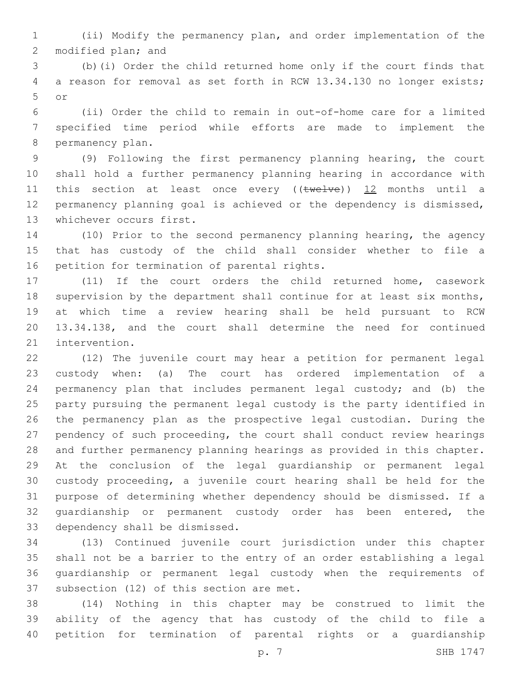(ii) Modify the permanency plan, and order implementation of the 2 modified plan; and

 (b)(i) Order the child returned home only if the court finds that a reason for removal as set forth in RCW 13.34.130 no longer exists; or5

 (ii) Order the child to remain in out-of-home care for a limited specified time period while efforts are made to implement the 8 permanency plan.

 (9) Following the first permanency planning hearing, the court shall hold a further permanency planning hearing in accordance with 11 this section at least once every ((twelve)) 12 months until a permanency planning goal is achieved or the dependency is dismissed, 13 whichever occurs first.

 (10) Prior to the second permanency planning hearing, the agency that has custody of the child shall consider whether to file a 16 petition for termination of parental rights.

 (11) If the court orders the child returned home, casework 18 supervision by the department shall continue for at least six months, at which time a review hearing shall be held pursuant to RCW 13.34.138, and the court shall determine the need for continued 21 intervention.

 (12) The juvenile court may hear a petition for permanent legal custody when: (a) The court has ordered implementation of a permanency plan that includes permanent legal custody; and (b) the party pursuing the permanent legal custody is the party identified in the permanency plan as the prospective legal custodian. During the pendency of such proceeding, the court shall conduct review hearings and further permanency planning hearings as provided in this chapter. At the conclusion of the legal guardianship or permanent legal custody proceeding, a juvenile court hearing shall be held for the purpose of determining whether dependency should be dismissed. If a 32 quardianship or permanent custody order has been entered, the 33 dependency shall be dismissed.

 (13) Continued juvenile court jurisdiction under this chapter shall not be a barrier to the entry of an order establishing a legal guardianship or permanent legal custody when the requirements of 37 subsection (12) of this section are met.

 (14) Nothing in this chapter may be construed to limit the ability of the agency that has custody of the child to file a petition for termination of parental rights or a guardianship

p. 7 SHB 1747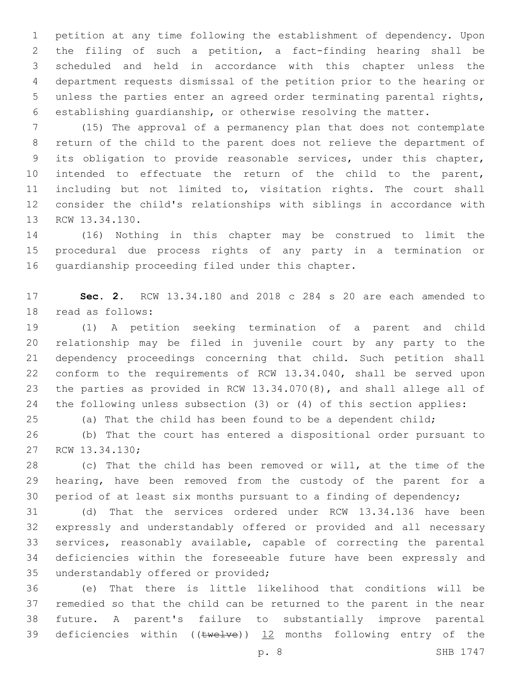petition at any time following the establishment of dependency. Upon the filing of such a petition, a fact-finding hearing shall be scheduled and held in accordance with this chapter unless the department requests dismissal of the petition prior to the hearing or unless the parties enter an agreed order terminating parental rights, establishing guardianship, or otherwise resolving the matter.

 (15) The approval of a permanency plan that does not contemplate return of the child to the parent does not relieve the department of its obligation to provide reasonable services, under this chapter, intended to effectuate the return of the child to the parent, including but not limited to, visitation rights. The court shall consider the child's relationships with siblings in accordance with 13 RCW 13.34.130.

 (16) Nothing in this chapter may be construed to limit the procedural due process rights of any party in a termination or 16 quardianship proceeding filed under this chapter.

 **Sec. 2.** RCW 13.34.180 and 2018 c 284 s 20 are each amended to 18 read as follows:

 (1) A petition seeking termination of a parent and child relationship may be filed in juvenile court by any party to the dependency proceedings concerning that child. Such petition shall conform to the requirements of RCW 13.34.040, shall be served upon the parties as provided in RCW 13.34.070(8), and shall allege all of the following unless subsection (3) or (4) of this section applies:

(a) That the child has been found to be a dependent child;

 (b) That the court has entered a dispositional order pursuant to 27 RCW 13.34.130;

 (c) That the child has been removed or will, at the time of the hearing, have been removed from the custody of the parent for a period of at least six months pursuant to a finding of dependency;

 (d) That the services ordered under RCW 13.34.136 have been expressly and understandably offered or provided and all necessary services, reasonably available, capable of correcting the parental deficiencies within the foreseeable future have been expressly and 35 understandably offered or provided;

 (e) That there is little likelihood that conditions will be remedied so that the child can be returned to the parent in the near future. A parent's failure to substantially improve parental 39 deficiencies within (( $t$ welve)) 12 months following entry of the

p. 8 SHB 1747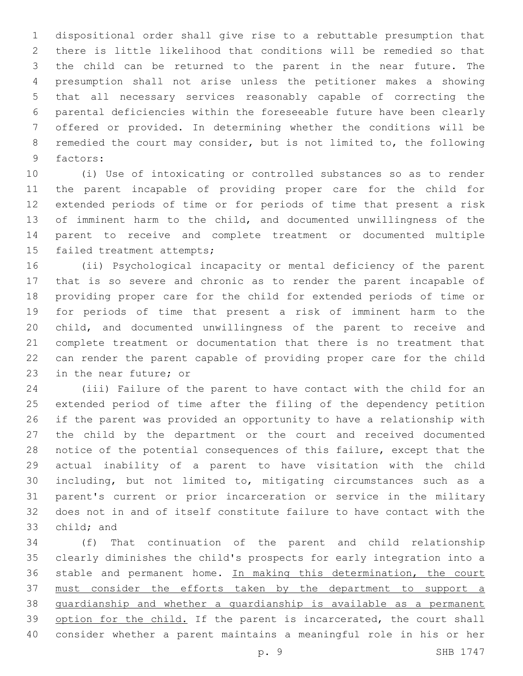dispositional order shall give rise to a rebuttable presumption that there is little likelihood that conditions will be remedied so that the child can be returned to the parent in the near future. The presumption shall not arise unless the petitioner makes a showing that all necessary services reasonably capable of correcting the parental deficiencies within the foreseeable future have been clearly offered or provided. In determining whether the conditions will be remedied the court may consider, but is not limited to, the following 9 factors:

 (i) Use of intoxicating or controlled substances so as to render the parent incapable of providing proper care for the child for extended periods of time or for periods of time that present a risk of imminent harm to the child, and documented unwillingness of the parent to receive and complete treatment or documented multiple 15 failed treatment attempts;

 (ii) Psychological incapacity or mental deficiency of the parent that is so severe and chronic as to render the parent incapable of providing proper care for the child for extended periods of time or for periods of time that present a risk of imminent harm to the child, and documented unwillingness of the parent to receive and complete treatment or documentation that there is no treatment that can render the parent capable of providing proper care for the child 23 in the near future; or

 (iii) Failure of the parent to have contact with the child for an extended period of time after the filing of the dependency petition if the parent was provided an opportunity to have a relationship with the child by the department or the court and received documented notice of the potential consequences of this failure, except that the actual inability of a parent to have visitation with the child including, but not limited to, mitigating circumstances such as a parent's current or prior incarceration or service in the military does not in and of itself constitute failure to have contact with the 33 child; and

 (f) That continuation of the parent and child relationship clearly diminishes the child's prospects for early integration into a 36 stable and permanent home. In making this determination, the court must consider the efforts taken by the department to support a guardianship and whether a guardianship is available as a permanent 39 option for the child. If the parent is incarcerated, the court shall consider whether a parent maintains a meaningful role in his or her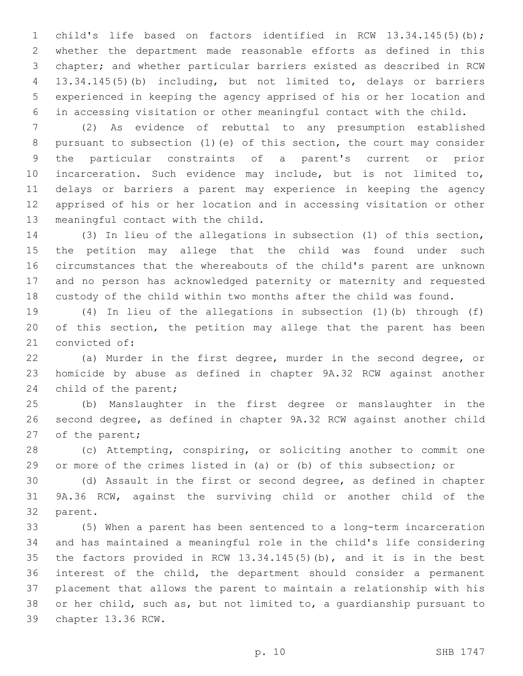child's life based on factors identified in RCW 13.34.145(5)(b); whether the department made reasonable efforts as defined in this chapter; and whether particular barriers existed as described in RCW 13.34.145(5)(b) including, but not limited to, delays or barriers experienced in keeping the agency apprised of his or her location and in accessing visitation or other meaningful contact with the child.

 (2) As evidence of rebuttal to any presumption established pursuant to subsection (1)(e) of this section, the court may consider the particular constraints of a parent's current or prior incarceration. Such evidence may include, but is not limited to, delays or barriers a parent may experience in keeping the agency apprised of his or her location and in accessing visitation or other 13 meaningful contact with the child.

 (3) In lieu of the allegations in subsection (1) of this section, the petition may allege that the child was found under such circumstances that the whereabouts of the child's parent are unknown and no person has acknowledged paternity or maternity and requested custody of the child within two months after the child was found.

 (4) In lieu of the allegations in subsection (1)(b) through (f) of this section, the petition may allege that the parent has been 21 convicted of:

 (a) Murder in the first degree, murder in the second degree, or homicide by abuse as defined in chapter 9A.32 RCW against another 24 child of the parent;

 (b) Manslaughter in the first degree or manslaughter in the second degree, as defined in chapter 9A.32 RCW against another child 27 of the parent;

 (c) Attempting, conspiring, or soliciting another to commit one or more of the crimes listed in (a) or (b) of this subsection; or

 (d) Assault in the first or second degree, as defined in chapter 9A.36 RCW, against the surviving child or another child of the 32 parent.

 (5) When a parent has been sentenced to a long-term incarceration and has maintained a meaningful role in the child's life considering the factors provided in RCW 13.34.145(5)(b), and it is in the best interest of the child, the department should consider a permanent placement that allows the parent to maintain a relationship with his or her child, such as, but not limited to, a guardianship pursuant to 39 chapter 13.36 RCW.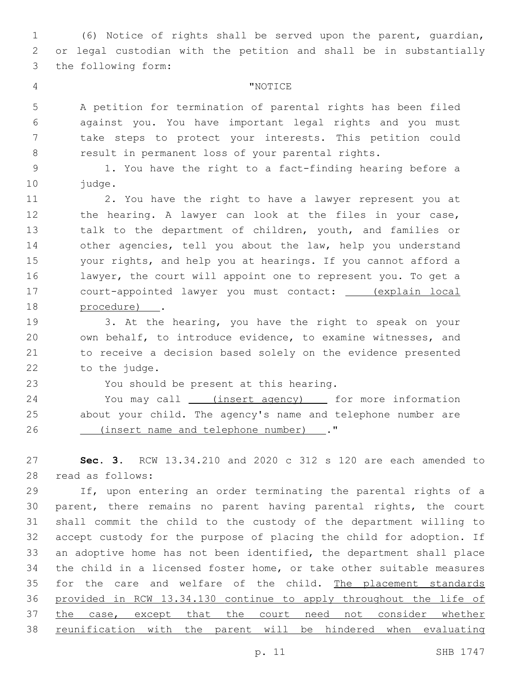(6) Notice of rights shall be served upon the parent, guardian, or legal custodian with the petition and shall be in substantially 3 the following form:

## "NOTICE4

 A petition for termination of parental rights has been filed against you. You have important legal rights and you must take steps to protect your interests. This petition could result in permanent loss of your parental rights.

 1. You have the right to a fact-finding hearing before a 10 judge.

 2. You have the right to have a lawyer represent you at 12 the hearing. A lawyer can look at the files in your case, talk to the department of children, youth, and families or other agencies, tell you about the law, help you understand your rights, and help you at hearings. If you cannot afford a lawyer, the court will appoint one to represent you. To get a court-appointed lawyer you must contact: (explain local 18 procedure) .

 3. At the hearing, you have the right to speak on your own behalf, to introduce evidence, to examine witnesses, and to receive a decision based solely on the evidence presented 22 to the judge.

23 You should be present at this hearing.

24 You may call \_\_\_\_(insert agency) \_\_\_\_\_ for more information about your child. The agency's name and telephone number are (insert name and telephone number) ."26

 **Sec. 3.** RCW 13.34.210 and 2020 c 312 s 120 are each amended to read as follows:28

 If, upon entering an order terminating the parental rights of a parent, there remains no parent having parental rights, the court shall commit the child to the custody of the department willing to accept custody for the purpose of placing the child for adoption. If an adoptive home has not been identified, the department shall place the child in a licensed foster home, or take other suitable measures 35 for the care and welfare of the child. The placement standards provided in RCW 13.34.130 continue to apply throughout the life of 37 the case, except that the court need not consider whether reunification with the parent will be hindered when evaluating